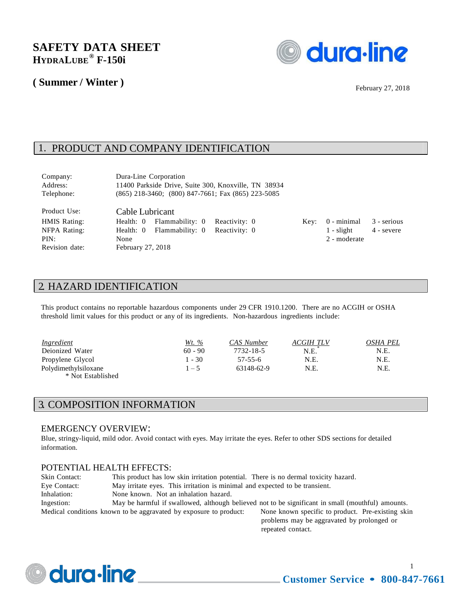# **SAFETY DATA SHEET ® HYDRALUBE F-150i**

### **( Summer / Winter )**



February 27, 2018

### 1. PRODUCT AND COMPANY IDENTIFICATION

| Company:                                                                      | Dura-Line Corporation                                                                                                                          |      |                                             |                             |
|-------------------------------------------------------------------------------|------------------------------------------------------------------------------------------------------------------------------------------------|------|---------------------------------------------|-----------------------------|
| Address:                                                                      | 11400 Parkside Drive, Suite 300, Knoxville, TN 38934                                                                                           |      |                                             |                             |
| Telephone:                                                                    | $(865)$ 218-3460; $(800)$ 847-7661; Fax $(865)$ 223-5085                                                                                       |      |                                             |                             |
| Product Use:<br><b>HMIS Rating:</b><br>NFPA Rating:<br>PIN:<br>Revision date: | Cable Lubricant<br>Flammability: 0<br>Reactivity: 0<br>Health: 0<br>Flammability: 0<br>Reactivity: 0<br>Health: 0<br>None<br>February 27, 2018 | Key: | 0 - minimal<br>$1 -$ slight<br>2 - moderate | 3 - serious<br>$4 -$ severe |

### 2. HAZARD IDENTIFICATION

This product contains no reportable hazardous components under 29 CFR 1910.1200. There are no ACGIH or OSHA threshold limit values for this product or any of its ingredients. Non-hazardous ingredients include:

| Ingredient                                | Wt. %     | CAS Number | ACGIH TLV | OSHA PEL |
|-------------------------------------------|-----------|------------|-----------|----------|
| Deionized Water                           | $60 - 90$ | 7732-18-5  | N.E.      | N.E.     |
| Propylene Glycol                          | $-30$     | 57-55-6    | N.E.      | N.E.     |
| Polydimethylsiloxane<br>* Not Established | $1 - 5$   | 63148-62-9 | N.E.      | N.E.     |

# 3. COMPOSITION INFORMATION

#### EMERGENCY OVERVIEW:

Blue, stringy-liquid, mild odor. Avoid contact with eyes. May irritate the eyes. Refer to other SDS sections for detailed information.

#### POTENTIAL HEALTH EFFECTS:

| Skin Contact:                                                     | This product has low skin irritation potential. There is no dermal toxicity hazard. |                                                                                                   |  |
|-------------------------------------------------------------------|-------------------------------------------------------------------------------------|---------------------------------------------------------------------------------------------------|--|
| Eye Contact:                                                      | May irritate eyes. This irritation is minimal and expected to be transient.         |                                                                                                   |  |
| Inhalation:                                                       | None known. Not an inhalation hazard.                                               |                                                                                                   |  |
| Ingestion:                                                        |                                                                                     | May be harmful if swallowed, although believed not to be significant in small (mouthful) amounts. |  |
| Medical conditions known to be aggravated by exposure to product: |                                                                                     | None known specific to product. Pre-existing skin                                                 |  |
|                                                                   |                                                                                     | problems may be aggravated by prolonged or                                                        |  |

problems may be aggravated by prolonged or repeated contact.



1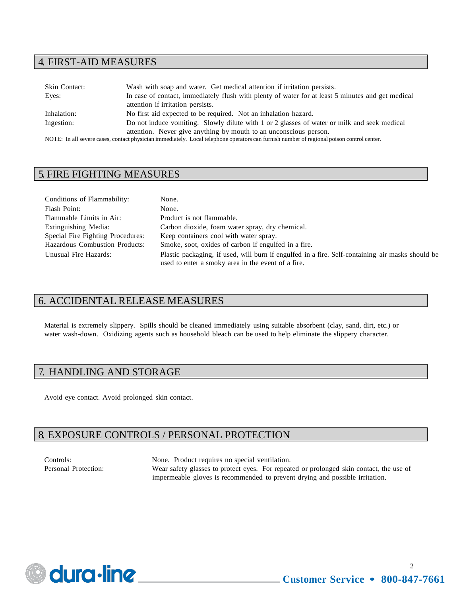#### 4. FIRST-AID MEASURES

| <b>Skin Contact:</b> | Wash with soap and water. Get medical attention if irritation persists.                                                                   |
|----------------------|-------------------------------------------------------------------------------------------------------------------------------------------|
| Eyes:                | In case of contact, immediately flush with plenty of water for at least 5 minutes and get medical                                         |
|                      | attention if irritation persists.                                                                                                         |
| Inhalation:          | No first aid expected to be required. Not an inhalation hazard.                                                                           |
| Ingestion:           | Do not induce vomiting. Slowly dilute with 1 or 2 glasses of water or milk and seek medical                                               |
|                      | attention. Never give anything by mouth to an unconscious person.                                                                         |
|                      | NOTE. In all sovere eases, contact physician immediately. Local telephone energtors can furnish number of regional poison control center. |

NOTE: In all severe cases, contact physician immediately. Local telephone operators can furnish number of regional poison control center.

#### 5. FIRE FIGHTING MEASURES

| Conditions of Flammability:       | None.                                                                                                                                                  |
|-----------------------------------|--------------------------------------------------------------------------------------------------------------------------------------------------------|
| Flash Point:                      | None.                                                                                                                                                  |
| Flammable Limits in Air:          | Product is not flammable.                                                                                                                              |
| Extinguishing Media:              | Carbon dioxide, foam water spray, dry chemical.                                                                                                        |
| Special Fire Fighting Procedures: | Keep containers cool with water spray.                                                                                                                 |
| Hazardous Combustion Products:    | Smoke, soot, oxides of carbon if engulfed in a fire.                                                                                                   |
| Unusual Fire Hazards:             | Plastic packaging, if used, will burn if engulfed in a fire. Self-containing air masks should be<br>used to enter a smoky area in the event of a fire. |

### 6. ACCIDENTAL RELEASE MEASURES

Material is extremely slippery. Spills should be cleaned immediately using suitable absorbent (clay, sand, dirt, etc.) or water wash-down. Oxidizing agents such as household bleach can be used to help eliminate the slippery character.

### 7. HANDLING AND STORAGE

Avoid eye contact. Avoid prolonged skin contact.

## 8. EXPOSURE CONTROLS / PERSONAL PROTECTION

Controls: None. Product requires no special ventilation. Personal Protection: Wear safety glasses to protect eyes. For repeated or prolonged skin contact, the use of impermeable gloves is recommended to prevent drying and possible irritation.

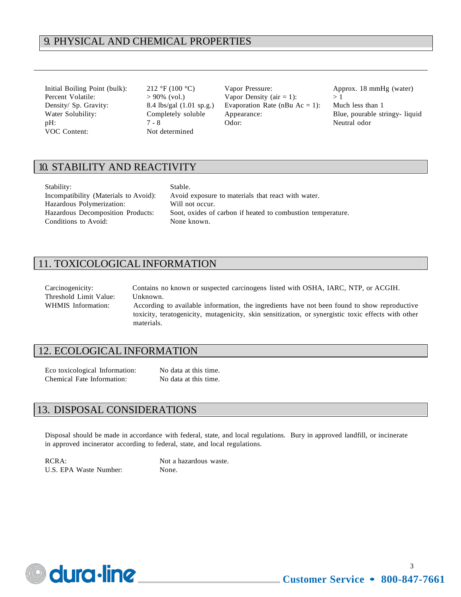#### 9. PHYSICAL AND CHEMICAL PROPERTIES

VOC Content: Not determined

Initial Boiling Point (bulk): 212 °F (100 °C) Vapor Pressure: Approx. 18 mmHg (water) Percent Volatile:  $> 90\%$  (vol.) Vapor Density (air = 1):  $> 1$ Density/ Sp. Gravity: 8.4 lbs/gal (1.01 sp.g.) Evaporation Rate (nBu Ac = 1): Much less than 1 Water Solubility: Completely soluble Appearance: Blue, pourable stringy- liquid pH:  $7 - 8$  Odor: Neutral odor

### 10. STABILITY AND REACTIVITY

| Stability:                               | Stable.                                                     |
|------------------------------------------|-------------------------------------------------------------|
| Incompatibility (Materials to Avoid):    | Avoid exposure to materials that react with water.          |
| Hazardous Polymerization:                | Will not occur.                                             |
| <b>Hazardous Decomposition Products:</b> | Soot, oxides of carbon if heated to combustion temperature. |
| Conditions to Avoid:                     | None known.                                                 |

#### 11. TOXICOLOGICAL INFORMATION

Carcinogenicity: Contains no known or suspected carcinogens listed with OSHA, IARC, NTP, or ACGIH. Threshold Limit Value: Unknown. WHMIS Information: According to available information, the ingredients have not been found to show reproductive toxicity, teratogenicity, mutagenicity, skin sensitization, or synergistic toxic effects with other materials.

#### 12. ECOLOGICAL INFORMATION

Eco toxicological Information: No data at this time. Chemical Fate Information: No data at this time.

### 13. DISPOSAL CONSIDERATIONS

Disposal should be made in accordance with federal, state, and local regulations. Bury in approved landfill, or incinerate in approved incinerator according to federal, state, and local regulations.

RCRA: Not a hazardous waste. U.S. EPA Waste Number: None.